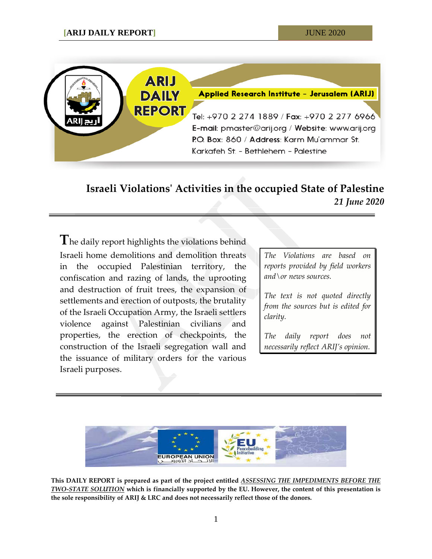

## **Israeli Violations' Activities in the occupied State of Palestine** *21 June 2020*

**T**he daily report highlights the violations behind Israeli home demolitions and demolition threats in the occupied Palestinian territory, the confiscation and razing of lands, the uprooting and destruction of fruit trees, the expansion of settlements and erection of outposts, the brutality of the Israeli Occupation Army, the Israeli settlers violence against Palestinian civilians and properties, the erection of checkpoints, the construction of the Israeli segregation wall and the issuance of military orders for the various Israeli purposes.

*The Violations are based on reports provided by field workers and\or news sources.*

*The text is not quoted directly from the sources but is edited for clarity.*

*The daily report does not necessarily reflect ARIJ's opinion.*



**This DAILY REPORT is prepared as part of the project entitled** *ASSESSING THE IMPEDIMENTS BEFORE THE TWO-STATE SOLUTION* **which is financially supported by the EU. However, the content of this presentation is the sole responsibility of ARIJ & LRC and does not necessarily reflect those of the donors.**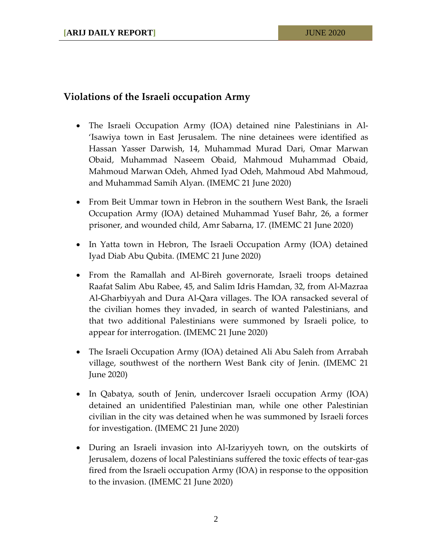## **Violations of the Israeli occupation Army**

- The Israeli Occupation Army (IOA) detained nine Palestinians in Al- 'Isawiya town in East Jerusalem. The nine detainees were identified as Hassan Yasser Darwish, 14, Muhammad Murad Dari, Omar Marwan Obaid, Muhammad Naseem Obaid, Mahmoud Muhammad Obaid, Mahmoud Marwan Odeh, Ahmed Iyad Odeh, Mahmoud Abd Mahmoud, and Muhammad Samih Alyan. (IMEMC 21 June 2020)
- From Beit Ummar town in Hebron in the southern West Bank, the Israeli Occupation Army (IOA) detained Muhammad Yusef Bahr, 26, a former prisoner, and wounded child, Amr Sabarna, 17. (IMEMC 21 June 2020)
- In Yatta town in Hebron, The Israeli Occupation Army (IOA) detained Iyad Diab Abu Qubita. (IMEMC 21 June 2020)
- From the Ramallah and Al-Bireh governorate, Israeli troops detained Raafat Salim Abu Rabee, 45, and Salim Idris Hamdan, 32, from Al-Mazraa Al-Gharbiyyah and Dura Al-Qara villages. The IOA ransacked several of the civilian homes they invaded, in search of wanted Palestinians, and that two additional Palestinians were summoned by Israeli police, to appear for interrogation. (IMEMC 21 June 2020)
- The Israeli Occupation Army (IOA) detained Ali Abu Saleh from Arrabah village, southwest of the northern West Bank city of Jenin. (IMEMC 21 June 2020)
- In Qabatya, south of Jenin, undercover Israeli occupation Army (IOA) detained an unidentified Palestinian man, while one other Palestinian civilian in the city was detained when he was summoned by Israeli forces for investigation. (IMEMC 21 June 2020)
- During an Israeli invasion into Al-Izariyyeh town, on the outskirts of Jerusalem, dozens of local Palestinians suffered the toxic effects of tear-gas fired from the Israeli occupation Army (IOA) in response to the opposition to the invasion. (IMEMC 21 June 2020)